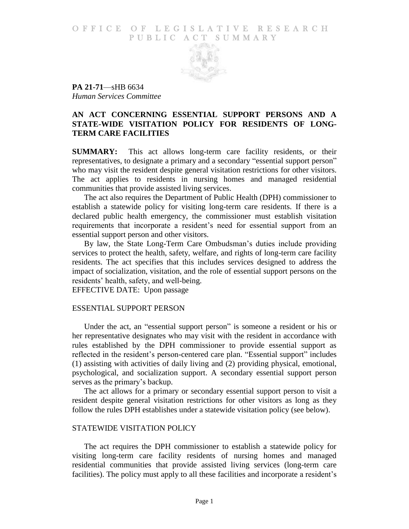#### O F FICE OF LEGISLATIVE RESEARCH PUBLIC ACT SUMMARY



**PA 21-71**—sHB 6634 *Human Services Committee*

## **AN ACT CONCERNING ESSENTIAL SUPPORT PERSONS AND A STATE-WIDE VISITATION POLICY FOR RESIDENTS OF LONG-TERM CARE FACILITIES**

**SUMMARY:** This act allows long-term care facility residents, or their representatives, to designate a primary and a secondary "essential support person" who may visit the resident despite general visitation restrictions for other visitors. The act applies to residents in nursing homes and managed residential communities that provide assisted living services.

The act also requires the Department of Public Health (DPH) commissioner to establish a statewide policy for visiting long-term care residents. If there is a declared public health emergency, the commissioner must establish visitation requirements that incorporate a resident's need for essential support from an essential support person and other visitors.

By law, the State Long-Term Care Ombudsman's duties include providing services to protect the health, safety, welfare, and rights of long-term care facility residents. The act specifies that this includes services designed to address the impact of socialization, visitation, and the role of essential support persons on the residents' health, safety, and well-being.

EFFECTIVE DATE: Upon passage

# ESSENTIAL SUPPORT PERSON

Under the act, an "essential support person" is someone a resident or his or her representative designates who may visit with the resident in accordance with rules established by the DPH commissioner to provide essential support as reflected in the resident's person-centered care plan. "Essential support" includes (1) assisting with activities of daily living and (2) providing physical, emotional, psychological, and socialization support. A secondary essential support person serves as the primary's backup.

The act allows for a primary or secondary essential support person to visit a resident despite general visitation restrictions for other visitors as long as they follow the rules DPH establishes under a statewide visitation policy (see below).

#### STATEWIDE VISITATION POLICY

The act requires the DPH commissioner to establish a statewide policy for visiting long-term care facility residents of nursing homes and managed residential communities that provide assisted living services (long-term care facilities). The policy must apply to all these facilities and incorporate a resident's